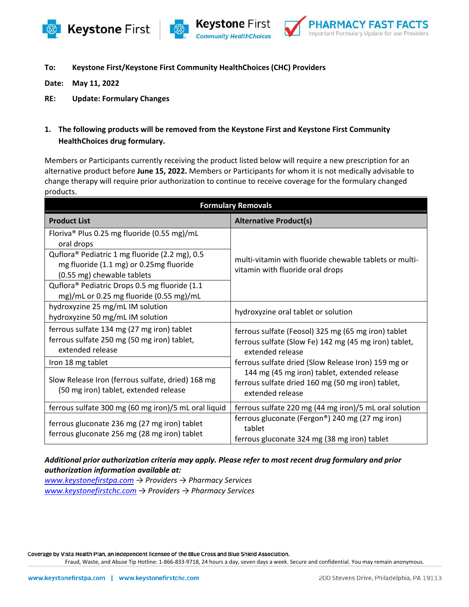





**To: Keystone First/Keystone First Community HealthChoices (CHC) Providers**

**Date: May 11, 2022**

**RE: Update: Formulary Changes**

**1. The following products will be removed from the Keystone First and Keystone First Community HealthChoices drug formulary.** 

Members or Participants currently receiving the product listed below will require a new prescription for an alternative product before **June 15, 2022.** Members or Participants for whom it is not medically advisable to change therapy will require prior authorization to continue to receive coverage for the formulary changed products.

| <b>Formulary Removals</b>                                                                                               |                                                                                                                                  |  |
|-------------------------------------------------------------------------------------------------------------------------|----------------------------------------------------------------------------------------------------------------------------------|--|
| <b>Product List</b>                                                                                                     | <b>Alternative Product(s)</b>                                                                                                    |  |
| Floriva <sup>®</sup> Plus 0.25 mg fluoride (0.55 mg)/mL<br>oral drops                                                   | multi-vitamin with fluoride chewable tablets or multi-<br>vitamin with fluoride oral drops                                       |  |
| Quflora® Pediatric 1 mg fluoride (2.2 mg), 0.5<br>mg fluoride (1.1 mg) or 0.25mg fluoride<br>(0.55 mg) chewable tablets |                                                                                                                                  |  |
| Quflora <sup>®</sup> Pediatric Drops 0.5 mg fluoride (1.1<br>mg)/mL or 0.25 mg fluoride (0.55 mg)/mL                    |                                                                                                                                  |  |
| hydroxyzine 25 mg/mL IM solution<br>hydroxyzine 50 mg/mL IM solution                                                    | hydroxyzine oral tablet or solution                                                                                              |  |
| ferrous sulfate 134 mg (27 mg iron) tablet<br>ferrous sulfate 250 mg (50 mg iron) tablet,<br>extended release           | ferrous sulfate (Feosol) 325 mg (65 mg iron) tablet<br>ferrous sulfate (Slow Fe) 142 mg (45 mg iron) tablet,<br>extended release |  |
| Iron 18 mg tablet                                                                                                       | ferrous sulfate dried (Slow Release Iron) 159 mg or                                                                              |  |
| Slow Release Iron (ferrous sulfate, dried) 168 mg<br>(50 mg iron) tablet, extended release                              | 144 mg (45 mg iron) tablet, extended release<br>ferrous sulfate dried 160 mg (50 mg iron) tablet,<br>extended release            |  |
| ferrous sulfate 300 mg (60 mg iron)/5 mL oral liquid                                                                    | ferrous sulfate 220 mg (44 mg iron)/5 mL oral solution                                                                           |  |
| ferrous gluconate 236 mg (27 mg iron) tablet<br>ferrous gluconate 256 mg (28 mg iron) tablet                            | ferrous gluconate (Fergon®) 240 mg (27 mg iron)<br>tablet<br>ferrous gluconate 324 mg (38 mg iron) tablet                        |  |

## *Additional prior authorization criteria may apply. Please refer to most recent drug formulary and prior authorization information available at:*

*[www.keystonefirstpa.com](http://www.keystonefirstpa.com/) → Providers → Pharmacy Services [www.keystonefirstchc.com](http://www.keystonefirstchc.com/) → Providers → Pharmacy Services*

Coverage by Vista Health Plan, an independent licensee of the Blue Cross and Blue Shield Association.

Fraud, Waste, and Abuse Tip Hotline: 1-866-833-9718, 24 hours a day, seven days a week. Secure and confidential. You may remain anonymous.